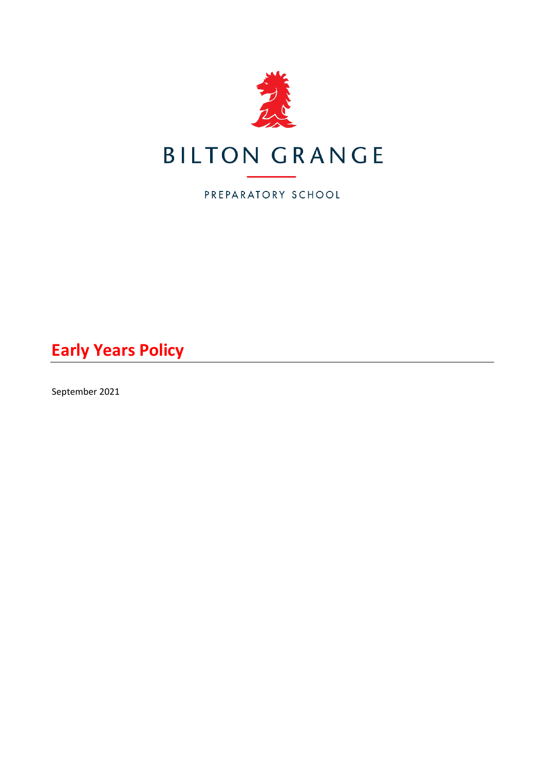

PREPARATORY SCHOOL

# **Early Years Policy**

September 2021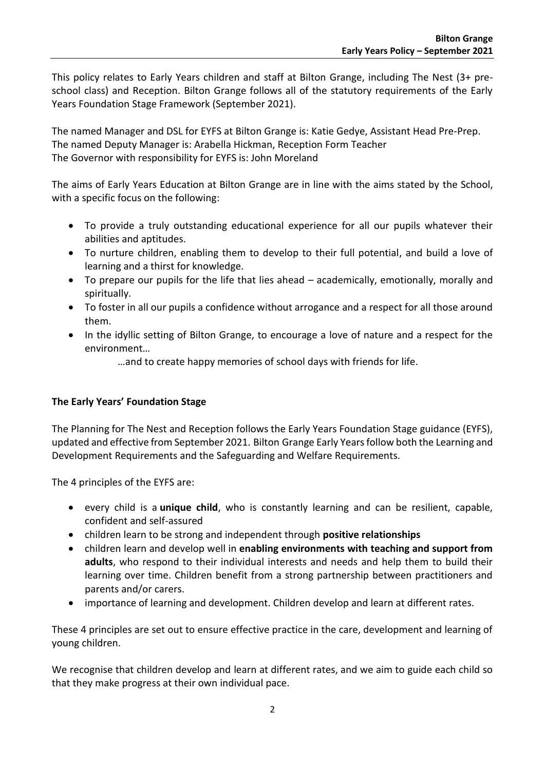This policy relates to Early Years children and staff at Bilton Grange, including The Nest (3+ preschool class) and Reception. Bilton Grange follows all of the statutory requirements of the Early Years Foundation Stage Framework (September 2021).

The named Manager and DSL for EYFS at Bilton Grange is: Katie Gedye, Assistant Head Pre-Prep. The named Deputy Manager is: Arabella Hickman, Reception Form Teacher The Governor with responsibility for EYFS is: John Moreland

The aims of Early Years Education at Bilton Grange are in line with the aims stated by the School, with a specific focus on the following:

- To provide a truly outstanding educational experience for all our pupils whatever their abilities and aptitudes.
- To nurture children, enabling them to develop to their full potential, and build a love of learning and a thirst for knowledge.
- To prepare our pupils for the life that lies ahead academically, emotionally, morally and spiritually.
- To foster in all our pupils a confidence without arrogance and a respect for all those around them.
- In the idyllic setting of Bilton Grange, to encourage a love of nature and a respect for the environment…
	- …and to create happy memories of school days with friends for life.

# **The Early Years' Foundation Stage**

The Planning for The Nest and Reception follows the Early Years Foundation Stage guidance (EYFS), updated and effective from September 2021. Bilton Grange Early Years follow both the Learning and Development Requirements and the Safeguarding and Welfare Requirements.

The 4 principles of the EYFS are:

- every child is a **unique child**, who is constantly learning and can be resilient, capable, confident and self-assured
- children learn to be strong and independent through **positive relationships**
- children learn and develop well in **enabling environments with teaching and support from adults**, who respond to their individual interests and needs and help them to build their learning over time. Children benefit from a strong partnership between practitioners and parents and/or carers.
- importance of learning and development. Children develop and learn at different rates.

These 4 principles are set out to ensure effective practice in the care, development and learning of young children.

We recognise that children develop and learn at different rates, and we aim to guide each child so that they make progress at their own individual pace.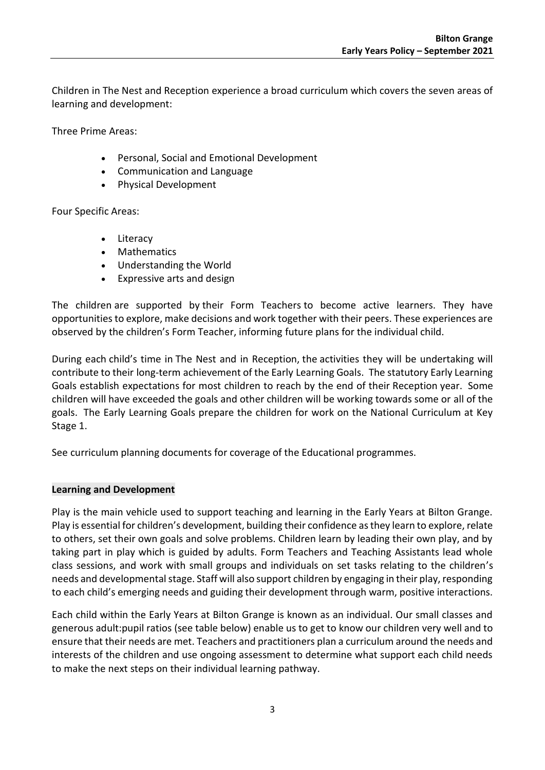Children in The Nest and Reception experience a broad curriculum which covers the seven areas of learning and development:

Three Prime Areas:

- Personal, Social and Emotional Development
- Communication and Language
- Physical Development

Four Specific Areas:

- Literacy
- Mathematics
- Understanding the World
- Expressive arts and design

The children are supported by their Form Teachers to become active learners. They have opportunities to explore, make decisions and work together with their peers. These experiences are observed by the children's Form Teacher, informing future plans for the individual child.

During each child's time in The Nest and in Reception, the activities they will be undertaking will contribute to their long-term achievement of the Early Learning Goals. The statutory Early Learning Goals establish expectations for most children to reach by the end of their Reception year. Some children will have exceeded the goals and other children will be working towards some or all of the goals. The Early Learning Goals prepare the children for work on the National Curriculum at Key Stage 1.

See curriculum planning documents for coverage of the Educational programmes.

### **Learning and Development**

Play is the main vehicle used to support teaching and learning in the Early Years at Bilton Grange. Play is essential for children's development, building their confidence as they learn to explore, relate to others, set their own goals and solve problems. Children learn by leading their own play, and by taking part in play which is guided by adults. Form Teachers and Teaching Assistants lead whole class sessions, and work with small groups and individuals on set tasks relating to the children's needs and developmental stage. Staff will also support children by engaging in their play, responding to each child's emerging needs and guiding their development through warm, positive interactions.

Each child within the Early Years at Bilton Grange is known as an individual. Our small classes and generous adult:pupil ratios (see table below) enable us to get to know our children very well and to ensure that their needs are met. Teachers and practitioners plan a curriculum around the needs and interests of the children and use ongoing assessment to determine what support each child needs to make the next steps on their individual learning pathway.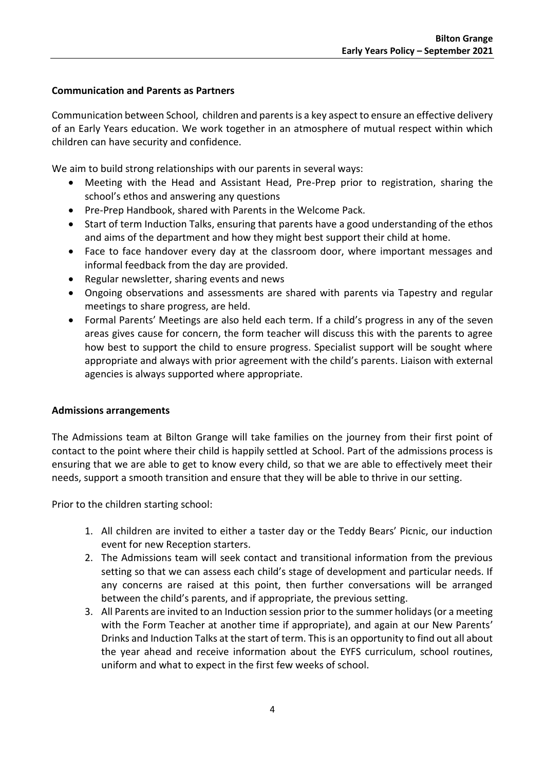## **Communication and Parents as Partners**

Communication between School, children and parents is a key aspect to ensure an effective delivery of an Early Years education. We work together in an atmosphere of mutual respect within which children can have security and confidence.

We aim to build strong relationships with our parents in several ways:

- Meeting with the Head and Assistant Head, Pre-Prep prior to registration, sharing the school's ethos and answering any questions
- Pre-Prep Handbook, shared with Parents in the Welcome Pack.
- Start of term Induction Talks, ensuring that parents have a good understanding of the ethos and aims of the department and how they might best support their child at home.
- Face to face handover every day at the classroom door, where important messages and informal feedback from the day are provided.
- Regular newsletter, sharing events and news
- Ongoing observations and assessments are shared with parents via Tapestry and regular meetings to share progress, are held.
- Formal Parents' Meetings are also held each term. If a child's progress in any of the seven areas gives cause for concern, the form teacher will discuss this with the parents to agree how best to support the child to ensure progress. Specialist support will be sought where appropriate and always with prior agreement with the child's parents. Liaison with external agencies is always supported where appropriate.

### **Admissions arrangements**

The Admissions team at Bilton Grange will take families on the journey from their first point of contact to the point where their child is happily settled at School. Part of the admissions process is ensuring that we are able to get to know every child, so that we are able to effectively meet their needs, support a smooth transition and ensure that they will be able to thrive in our setting.

Prior to the children starting school:

- 1. All children are invited to either a taster day or the Teddy Bears' Picnic, our induction event for new Reception starters.
- 2. The Admissions team will seek contact and transitional information from the previous setting so that we can assess each child's stage of development and particular needs. If any concerns are raised at this point, then further conversations will be arranged between the child's parents, and if appropriate, the previous setting.
- 3. All Parents are invited to an Induction session prior to the summer holidays (or a meeting with the Form Teacher at another time if appropriate), and again at our New Parents' Drinks and Induction Talks at the start of term. This is an opportunity to find out all about the year ahead and receive information about the EYFS curriculum, school routines, uniform and what to expect in the first few weeks of school.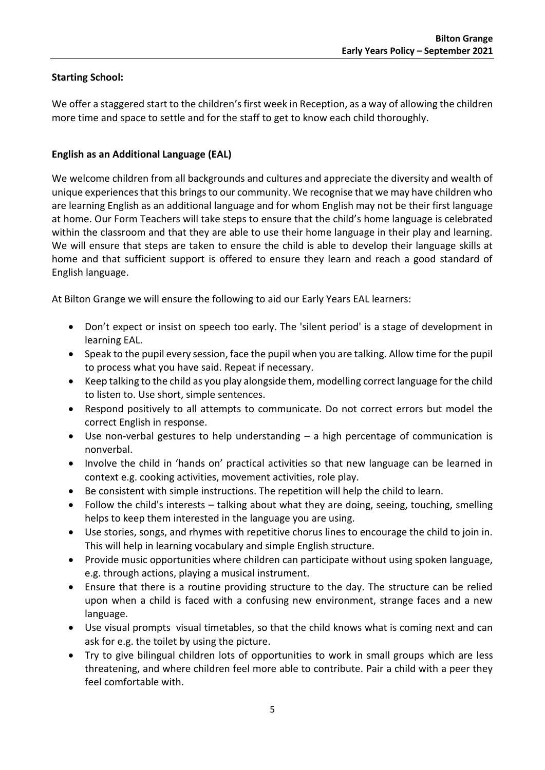# **Starting School:**

We offer a staggered start to the children's first week in Reception, as a way of allowing the children more time and space to settle and for the staff to get to know each child thoroughly.

# **English as an Additional Language (EAL)**

We welcome children from all backgrounds and cultures and appreciate the diversity and wealth of unique experiences that this brings to our community. We recognise that we may have children who are learning English as an additional language and for whom English may not be their first language at home. Our Form Teachers will take steps to ensure that the child's home language is celebrated within the classroom and that they are able to use their home language in their play and learning. We will ensure that steps are taken to ensure the child is able to develop their language skills at home and that sufficient support is offered to ensure they learn and reach a good standard of English language.

At Bilton Grange we will ensure the following to aid our Early Years EAL learners:

- Don't expect or insist on speech too early. The 'silent period' is a stage of development in learning EAL.
- Speak to the pupil every session, face the pupil when you are talking. Allow time for the pupil to process what you have said. Repeat if necessary.
- Keep talking to the child as you play alongside them, modelling correct language for the child to listen to. Use short, simple sentences.
- Respond positively to all attempts to communicate. Do not correct errors but model the correct English in response.
- Use non-verbal gestures to help understanding a high percentage of communication is nonverbal.
- Involve the child in 'hands on' practical activities so that new language can be learned in context e.g. cooking activities, movement activities, role play.
- Be consistent with simple instructions. The repetition will help the child to learn.
- Follow the child's interests talking about what they are doing, seeing, touching, smelling helps to keep them interested in the language you are using.
- Use stories, songs, and rhymes with repetitive chorus lines to encourage the child to join in. This will help in learning vocabulary and simple English structure.
- Provide music opportunities where children can participate without using spoken language, e.g. through actions, playing a musical instrument.
- Ensure that there is a routine providing structure to the day. The structure can be relied upon when a child is faced with a confusing new environment, strange faces and a new language.
- Use visual prompts visual timetables, so that the child knows what is coming next and can ask for e.g. the toilet by using the picture.
- Try to give bilingual children lots of opportunities to work in small groups which are less threatening, and where children feel more able to contribute. Pair a child with a peer they feel comfortable with.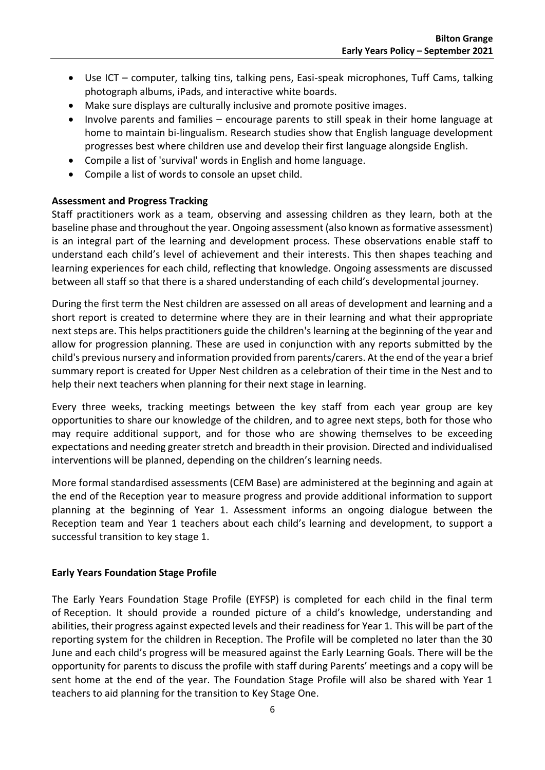- Use ICT computer, talking tins, talking pens, Easi-speak microphones, Tuff Cams, talking photograph albums, iPads, and interactive white boards.
- Make sure displays are culturally inclusive and promote positive images.
- Involve parents and families encourage parents to still speak in their home language at home to maintain bi-lingualism. Research studies show that English language development progresses best where children use and develop their first language alongside English.
- Compile a list of 'survival' words in English and home language.
- Compile a list of words to console an upset child.

# **Assessment and Progress Tracking**

Staff practitioners work as a team, observing and assessing children as they learn, both at the baseline phase and throughout the year. Ongoing assessment (also known as formative assessment) is an integral part of the learning and development process. These observations enable staff to understand each child's level of achievement and their interests. This then shapes teaching and learning experiences for each child, reflecting that knowledge. Ongoing assessments are discussed between all staff so that there is a shared understanding of each child's developmental journey.

During the first term the Nest children are assessed on all areas of development and learning and a short report is created to determine where they are in their learning and what their appropriate next steps are. This helps practitioners guide the children's learning at the beginning of the year and allow for progression planning. These are used in conjunction with any reports submitted by the child's previous nursery and information provided from parents/carers. At the end of the year a brief summary report is created for Upper Nest children as a celebration of their time in the Nest and to help their next teachers when planning for their next stage in learning.

Every three weeks, tracking meetings between the key staff from each year group are key opportunities to share our knowledge of the children, and to agree next steps, both for those who may require additional support, and for those who are showing themselves to be exceeding expectations and needing greater stretch and breadth in their provision. Directed and individualised interventions will be planned, depending on the children's learning needs.

More formal standardised assessments (CEM Base) are administered at the beginning and again at the end of the Reception year to measure progress and provide additional information to support planning at the beginning of Year 1. Assessment informs an ongoing dialogue between the Reception team and Year 1 teachers about each child's learning and development, to support a successful transition to key stage 1.

# **Early Years Foundation Stage Profile**

The Early Years Foundation Stage Profile (EYFSP) is completed for each child in the final term of Reception. It should provide a rounded picture of a child's knowledge, understanding and abilities, their progress against expected levels and their readiness for Year 1. This will be part of the reporting system for the children in Reception. The Profile will be completed no later than the 30 June and each child's progress will be measured against the Early Learning Goals. There will be the opportunity for parents to discuss the profile with staff during Parents' meetings and a copy will be sent home at the end of the year. The Foundation Stage Profile will also be shared with Year 1 teachers to aid planning for the transition to Key Stage One.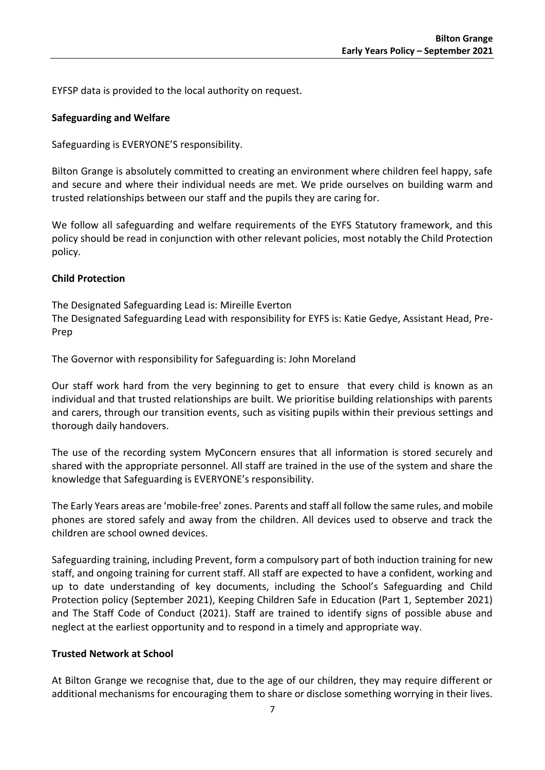EYFSP data is provided to the local authority on request.

### **Safeguarding and Welfare**

Safeguarding is EVERYONE'S responsibility.

Bilton Grange is absolutely committed to creating an environment where children feel happy, safe and secure and where their individual needs are met. We pride ourselves on building warm and trusted relationships between our staff and the pupils they are caring for.

We follow all safeguarding and welfare requirements of the EYFS Statutory framework, and this policy should be read in conjunction with other relevant policies, most notably the Child Protection policy.

## **Child Protection**

The Designated Safeguarding Lead is: Mireille Everton

The Designated Safeguarding Lead with responsibility for EYFS is: Katie Gedye, Assistant Head, Pre-Prep

The Governor with responsibility for Safeguarding is: John Moreland

Our staff work hard from the very beginning to get to ensure that every child is known as an individual and that trusted relationships are built. We prioritise building relationships with parents and carers, through our transition events, such as visiting pupils within their previous settings and thorough daily handovers.

The use of the recording system MyConcern ensures that all information is stored securely and shared with the appropriate personnel. All staff are trained in the use of the system and share the knowledge that Safeguarding is EVERYONE's responsibility.

The Early Years areas are 'mobile-free' zones. Parents and staff all follow the same rules, and mobile phones are stored safely and away from the children. All devices used to observe and track the children are school owned devices.

Safeguarding training, including Prevent, form a compulsory part of both induction training for new staff, and ongoing training for current staff. All staff are expected to have a confident, working and up to date understanding of key documents, including the School's Safeguarding and Child Protection policy (September 2021), Keeping Children Safe in Education (Part 1, September 2021) and The Staff Code of Conduct (2021). Staff are trained to identify signs of possible abuse and neglect at the earliest opportunity and to respond in a timely and appropriate way.

# **Trusted Network at School**

At Bilton Grange we recognise that, due to the age of our children, they may require different or additional mechanisms for encouraging them to share or disclose something worrying in their lives.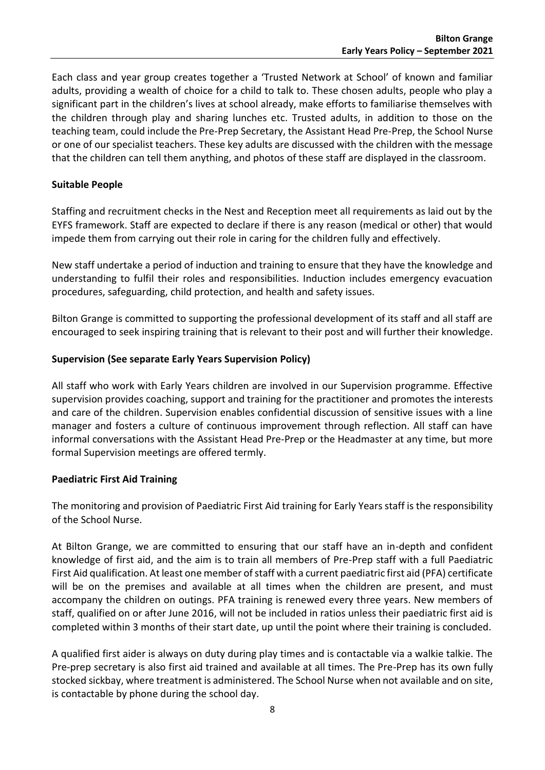Each class and year group creates together a 'Trusted Network at School' of known and familiar adults, providing a wealth of choice for a child to talk to. These chosen adults, people who play a significant part in the children's lives at school already, make efforts to familiarise themselves with the children through play and sharing lunches etc. Trusted adults, in addition to those on the teaching team, could include the Pre-Prep Secretary, the Assistant Head Pre-Prep, the School Nurse or one of our specialist teachers. These key adults are discussed with the children with the message that the children can tell them anything, and photos of these staff are displayed in the classroom.

### **Suitable People**

Staffing and recruitment checks in the Nest and Reception meet all requirements as laid out by the EYFS framework. Staff are expected to declare if there is any reason (medical or other) that would impede them from carrying out their role in caring for the children fully and effectively.

New staff undertake a period of induction and training to ensure that they have the knowledge and understanding to fulfil their roles and responsibilities. Induction includes emergency evacuation procedures, safeguarding, child protection, and health and safety issues.

Bilton Grange is committed to supporting the professional development of its staff and all staff are encouraged to seek inspiring training that is relevant to their post and will further their knowledge.

## **Supervision (See separate Early Years Supervision Policy)**

All staff who work with Early Years children are involved in our Supervision programme. Effective supervision provides coaching, support and training for the practitioner and promotes the interests and care of the children. Supervision enables confidential discussion of sensitive issues with a line manager and fosters a culture of continuous improvement through reflection. All staff can have informal conversations with the Assistant Head Pre-Prep or the Headmaster at any time, but more formal Supervision meetings are offered termly.

### **Paediatric First Aid Training**

The monitoring and provision of Paediatric First Aid training for Early Years staff is the responsibility of the School Nurse.

At Bilton Grange, we are committed to ensuring that our staff have an in-depth and confident knowledge of first aid, and the aim is to train all members of Pre-Prep staff with a full Paediatric First Aid qualification. At least one member of staff with a current paediatric first aid (PFA) certificate will be on the premises and available at all times when the children are present, and must accompany the children on outings. PFA training is renewed every three years. New members of staff, qualified on or after June 2016, will not be included in ratios unless their paediatric first aid is completed within 3 months of their start date, up until the point where their training is concluded.

A qualified first aider is always on duty during play times and is contactable via a walkie talkie. The Pre-prep secretary is also first aid trained and available at all times. The Pre-Prep has its own fully stocked sickbay, where treatment is administered. The School Nurse when not available and on site, is contactable by phone during the school day.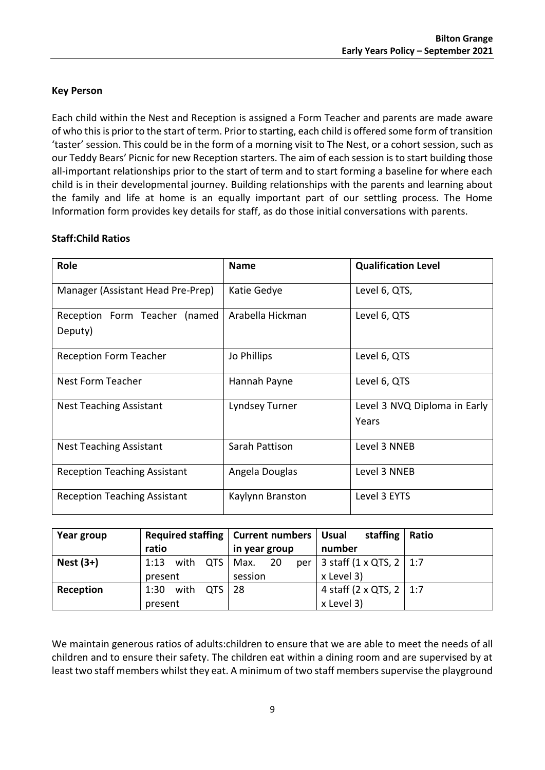# **Key Person**

Each child within the Nest and Reception is assigned a Form Teacher and parents are made aware of who this is prior to the start of term. Prior to starting, each child is offered some form of transition 'taster' session. This could be in the form of a morning visit to The Nest, or a cohort session, such as our Teddy Bears' Picnic for new Reception starters. The aim of each session is to start building those all-important relationships prior to the start of term and to start forming a baseline for where each child is in their developmental journey. Building relationships with the parents and learning about the family and life at home is an equally important part of our settling process. The Home Information form provides key details for staff, as do those initial conversations with parents.

# **Staff:Child Ratios**

| <b>Role</b>                              | <b>Name</b>      | <b>Qualification Level</b>            |  |
|------------------------------------------|------------------|---------------------------------------|--|
| Manager (Assistant Head Pre-Prep)        | Katie Gedye      | Level 6, QTS,                         |  |
| Reception Form Teacher (named<br>Deputy) | Arabella Hickman | Level 6, QTS                          |  |
| <b>Reception Form Teacher</b>            | Jo Phillips      | Level 6, QTS                          |  |
| Nest Form Teacher                        | Hannah Payne     | Level 6, QTS                          |  |
| <b>Nest Teaching Assistant</b>           | Lyndsey Turner   | Level 3 NVQ Diploma in Early<br>Years |  |
| <b>Nest Teaching Assistant</b>           | Sarah Pattison   | Level 3 NNEB                          |  |
| <b>Reception Teaching Assistant</b>      | Angela Douglas   | Level 3 NNEB                          |  |
| <b>Reception Teaching Assistant</b>      | Kaylynn Branston | Level 3 EYTS                          |  |

| Year group | <b>Required staffing</b> | Current numbers   Usual | staffing                   | Ratio |
|------------|--------------------------|-------------------------|----------------------------|-------|
|            | ratio                    | in year group           | number                     |       |
| $Nest(3+)$ | with QTS<br>1:13         | 20<br>Max.<br>per       | 3 staff (1 x QTS, 2   1:7) |       |
|            | session<br>present       |                         | x Level 3)                 |       |
| Reception  | with QTS<br>1:30         | 28                      | 4 staff (2 x QTS, 2   1:7) |       |
|            | present                  |                         | x Level 3)                 |       |

We maintain generous ratios of adults:children to ensure that we are able to meet the needs of all children and to ensure their safety. The children eat within a dining room and are supervised by at least two staff members whilst they eat. A minimum of two staff members supervise the playground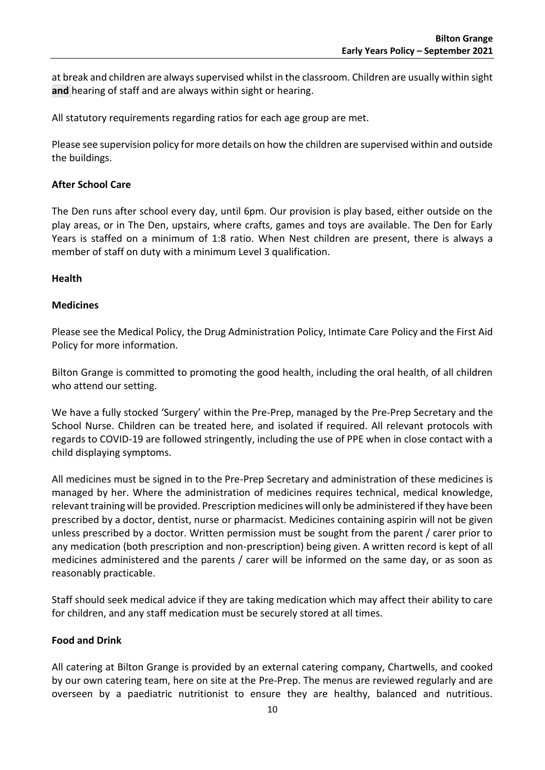at break and children are always supervised whilst in the classroom. Children are usually within sight **and** hearing of staff and are always within sight or hearing.

All statutory requirements regarding ratios for each age group are met.

Please see supervision policy for more details on how the children are supervised within and outside the buildings.

## **After School Care**

The Den runs after school every day, until 6pm. Our provision is play based, either outside on the play areas, or in The Den, upstairs, where crafts, games and toys are available. The Den for Early Years is staffed on a minimum of 1:8 ratio. When Nest children are present, there is always a member of staff on duty with a minimum Level 3 qualification.

### **Health**

## **Medicines**

Please see the Medical Policy, the Drug Administration Policy, Intimate Care Policy and the First Aid Policy for more information.

Bilton Grange is committed to promoting the good health, including the oral health, of all children who attend our setting.

We have a fully stocked 'Surgery' within the Pre-Prep, managed by the Pre-Prep Secretary and the School Nurse. Children can be treated here, and isolated if required. All relevant protocols with regards to COVID-19 are followed stringently, including the use of PPE when in close contact with a child displaying symptoms.

All medicines must be signed in to the Pre-Prep Secretary and administration of these medicines is managed by her. Where the administration of medicines requires technical, medical knowledge, relevant training will be provided. Prescription medicines will only be administered if they have been prescribed by a doctor, dentist, nurse or pharmacist. Medicines containing aspirin will not be given unless prescribed by a doctor. Written permission must be sought from the parent / carer prior to any medication (both prescription and non-prescription) being given. A written record is kept of all medicines administered and the parents / carer will be informed on the same day, or as soon as reasonably practicable.

Staff should seek medical advice if they are taking medication which may affect their ability to care for children, and any staff medication must be securely stored at all times.

# **Food and Drink**

All catering at Bilton Grange is provided by an external catering company, Chartwells, and cooked by our own catering team, here on site at the Pre-Prep. The menus are reviewed regularly and are overseen by a paediatric nutritionist to ensure they are healthy, balanced and nutritious.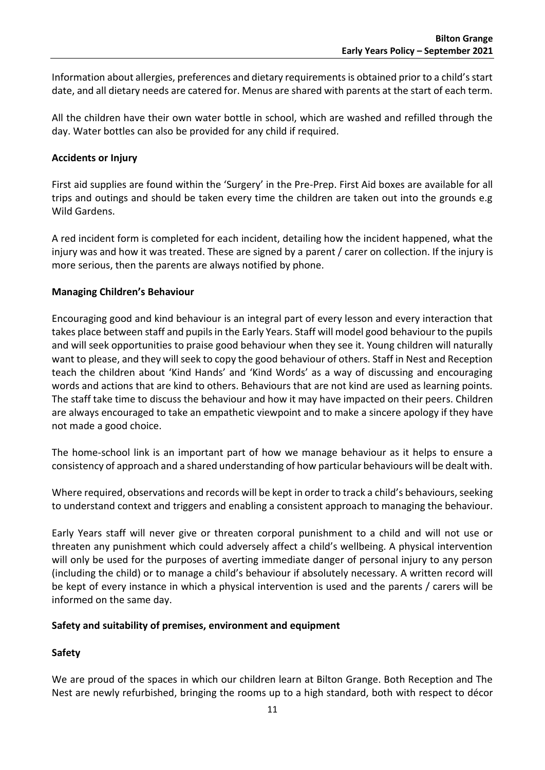Information about allergies, preferences and dietary requirements is obtained prior to a child's start date, and all dietary needs are catered for. Menus are shared with parents at the start of each term.

All the children have their own water bottle in school, which are washed and refilled through the day. Water bottles can also be provided for any child if required.

## **Accidents or Injury**

First aid supplies are found within the 'Surgery' in the Pre-Prep. First Aid boxes are available for all trips and outings and should be taken every time the children are taken out into the grounds e.g Wild Gardens.

A red incident form is completed for each incident, detailing how the incident happened, what the injury was and how it was treated. These are signed by a parent / carer on collection. If the injury is more serious, then the parents are always notified by phone.

## **Managing Children's Behaviour**

Encouraging good and kind behaviour is an integral part of every lesson and every interaction that takes place between staff and pupils in the Early Years. Staff will model good behaviour to the pupils and will seek opportunities to praise good behaviour when they see it. Young children will naturally want to please, and they will seek to copy the good behaviour of others. Staff in Nest and Reception teach the children about 'Kind Hands' and 'Kind Words' as a way of discussing and encouraging words and actions that are kind to others. Behaviours that are not kind are used as learning points. The staff take time to discuss the behaviour and how it may have impacted on their peers. Children are always encouraged to take an empathetic viewpoint and to make a sincere apology if they have not made a good choice.

The home-school link is an important part of how we manage behaviour as it helps to ensure a consistency of approach and a shared understanding of how particular behaviours will be dealt with.

Where required, observations and records will be kept in order to track a child's behaviours, seeking to understand context and triggers and enabling a consistent approach to managing the behaviour.

Early Years staff will never give or threaten corporal punishment to a child and will not use or threaten any punishment which could adversely affect a child's wellbeing. A physical intervention will only be used for the purposes of averting immediate danger of personal injury to any person (including the child) or to manage a child's behaviour if absolutely necessary. A written record will be kept of every instance in which a physical intervention is used and the parents / carers will be informed on the same day.

### **Safety and suitability of premises, environment and equipment**

# **Safety**

We are proud of the spaces in which our children learn at Bilton Grange. Both Reception and The Nest are newly refurbished, bringing the rooms up to a high standard, both with respect to décor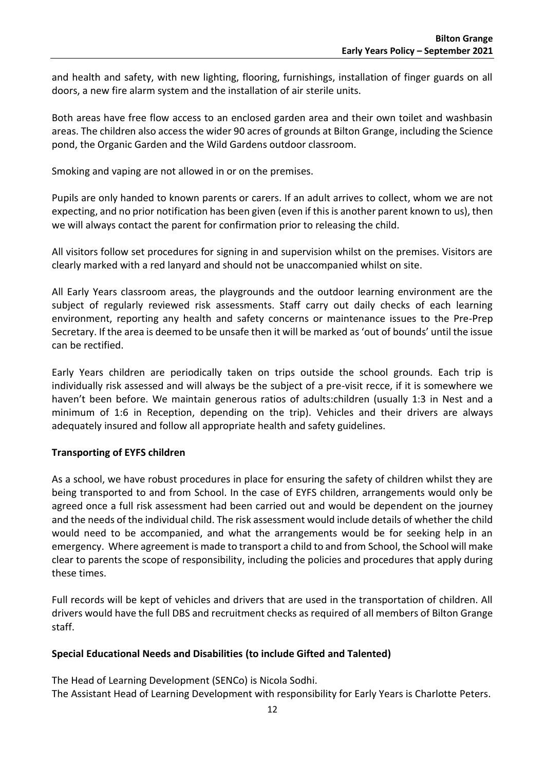and health and safety, with new lighting, flooring, furnishings, installation of finger guards on all doors, a new fire alarm system and the installation of air sterile units.

Both areas have free flow access to an enclosed garden area and their own toilet and washbasin areas. The children also access the wider 90 acres of grounds at Bilton Grange, including the Science pond, the Organic Garden and the Wild Gardens outdoor classroom.

Smoking and vaping are not allowed in or on the premises.

Pupils are only handed to known parents or carers. If an adult arrives to collect, whom we are not expecting, and no prior notification has been given (even if this is another parent known to us), then we will always contact the parent for confirmation prior to releasing the child.

All visitors follow set procedures for signing in and supervision whilst on the premises. Visitors are clearly marked with a red lanyard and should not be unaccompanied whilst on site.

All Early Years classroom areas, the playgrounds and the outdoor learning environment are the subject of regularly reviewed risk assessments. Staff carry out daily checks of each learning environment, reporting any health and safety concerns or maintenance issues to the Pre-Prep Secretary. If the area is deemed to be unsafe then it will be marked as 'out of bounds' until the issue can be rectified.

Early Years children are periodically taken on trips outside the school grounds. Each trip is individually risk assessed and will always be the subject of a pre-visit recce, if it is somewhere we haven't been before. We maintain generous ratios of adults:children (usually 1:3 in Nest and a minimum of 1:6 in Reception, depending on the trip). Vehicles and their drivers are always adequately insured and follow all appropriate health and safety guidelines.

# **Transporting of EYFS children**

As a school, we have robust procedures in place for ensuring the safety of children whilst they are being transported to and from School. In the case of EYFS children, arrangements would only be agreed once a full risk assessment had been carried out and would be dependent on the journey and the needs of the individual child. The risk assessment would include details of whether the child would need to be accompanied, and what the arrangements would be for seeking help in an emergency. Where agreement is made to transport a child to and from School, the School will make clear to parents the scope of responsibility, including the policies and procedures that apply during these times.

Full records will be kept of vehicles and drivers that are used in the transportation of children. All drivers would have the full DBS and recruitment checks as required of all members of Bilton Grange staff.

### **Special Educational Needs and Disabilities (to include Gifted and Talented)**

The Head of Learning Development (SENCo) is Nicola Sodhi. The Assistant Head of Learning Development with responsibility for Early Years is Charlotte Peters.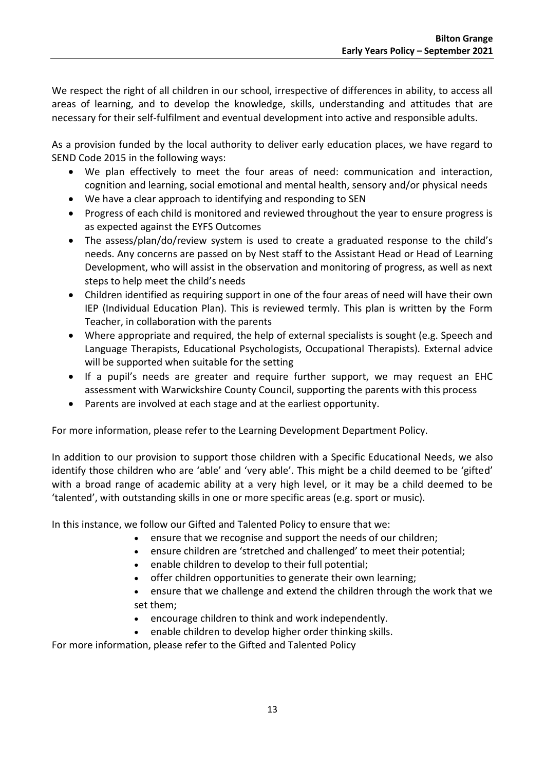We respect the right of all children in our school, irrespective of differences in ability, to access all areas of learning, and to develop the knowledge, skills, understanding and attitudes that are necessary for their self-fulfilment and eventual development into active and responsible adults.

As a provision funded by the local authority to deliver early education places, we have regard to SEND Code 2015 in the following ways:

- We plan effectively to meet the four areas of need: communication and interaction, cognition and learning, social emotional and mental health, sensory and/or physical needs
- We have a clear approach to identifying and responding to SEN
- Progress of each child is monitored and reviewed throughout the year to ensure progress is as expected against the EYFS Outcomes
- The assess/plan/do/review system is used to create a graduated response to the child's needs. Any concerns are passed on by Nest staff to the Assistant Head or Head of Learning Development, who will assist in the observation and monitoring of progress, as well as next steps to help meet the child's needs
- Children identified as requiring support in one of the four areas of need will have their own IEP (Individual Education Plan). This is reviewed termly. This plan is written by the Form Teacher, in collaboration with the parents
- Where appropriate and required, the help of external specialists is sought (e.g. Speech and Language Therapists, Educational Psychologists, Occupational Therapists). External advice will be supported when suitable for the setting
- If a pupil's needs are greater and require further support, we may request an EHC assessment with Warwickshire County Council, supporting the parents with this process
- Parents are involved at each stage and at the earliest opportunity.

For more information, please refer to the Learning Development Department Policy.

In addition to our provision to support those children with a Specific Educational Needs, we also identify those children who are 'able' and 'very able'. This might be a child deemed to be 'gifted' with a broad range of academic ability at a very high level, or it may be a child deemed to be 'talented', with outstanding skills in one or more specific areas (e.g. sport or music).

In this instance, we follow our Gifted and Talented Policy to ensure that we:

- ensure that we recognise and support the needs of our children;
- ensure children are 'stretched and challenged' to meet their potential;
- enable children to develop to their full potential;
- offer children opportunities to generate their own learning;
- ensure that we challenge and extend the children through the work that we set them;
- encourage children to think and work independently.
- enable children to develop higher order thinking skills.

For more information, please refer to the Gifted and Talented Policy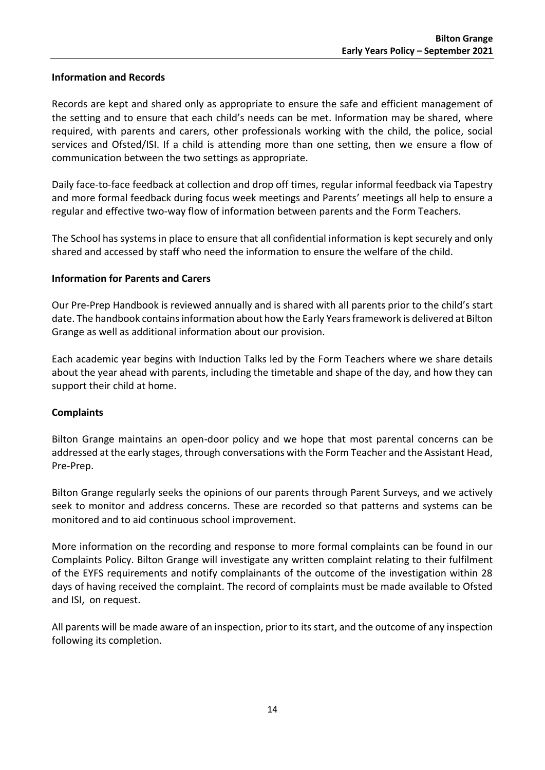## **Information and Records**

Records are kept and shared only as appropriate to ensure the safe and efficient management of the setting and to ensure that each child's needs can be met. Information may be shared, where required, with parents and carers, other professionals working with the child, the police, social services and Ofsted/ISI. If a child is attending more than one setting, then we ensure a flow of communication between the two settings as appropriate.

Daily face-to-face feedback at collection and drop off times, regular informal feedback via Tapestry and more formal feedback during focus week meetings and Parents' meetings all help to ensure a regular and effective two-way flow of information between parents and the Form Teachers.

The School has systems in place to ensure that all confidential information is kept securely and only shared and accessed by staff who need the information to ensure the welfare of the child.

## **Information for Parents and Carers**

Our Pre-Prep Handbook is reviewed annually and is shared with all parents prior to the child's start date. The handbook contains information about how the Early Years framework is delivered at Bilton Grange as well as additional information about our provision.

Each academic year begins with Induction Talks led by the Form Teachers where we share details about the year ahead with parents, including the timetable and shape of the day, and how they can support their child at home.

### **Complaints**

Bilton Grange maintains an open-door policy and we hope that most parental concerns can be addressed at the early stages, through conversations with the Form Teacher and the Assistant Head, Pre-Prep.

Bilton Grange regularly seeks the opinions of our parents through Parent Surveys, and we actively seek to monitor and address concerns. These are recorded so that patterns and systems can be monitored and to aid continuous school improvement.

More information on the recording and response to more formal complaints can be found in our Complaints Policy. Bilton Grange will investigate any written complaint relating to their fulfilment of the EYFS requirements and notify complainants of the outcome of the investigation within 28 days of having received the complaint. The record of complaints must be made available to Ofsted and ISI, on request.

All parents will be made aware of an inspection, prior to its start, and the outcome of any inspection following its completion.